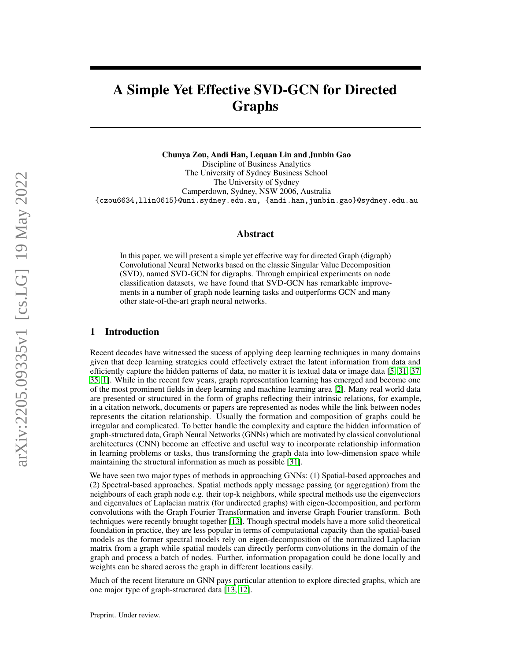# A Simple Yet Effective SVD-GCN for Directed Graphs

Chunya Zou, Andi Han, Lequan Lin and Junbin Gao Discipline of Business Analytics The University of Sydney Business School The University of Sydney Camperdown, Sydney, NSW 2006, Australia {czou6634,llin0615}@uni.sydney.edu.au, {andi.han,junbin.gao}@sydney.edu.au

## Abstract

In this paper, we will present a simple yet effective way for directed Graph (digraph) Convolutional Neural Networks based on the classic Singular Value Decomposition (SVD), named SVD-GCN for digraphs. Through empirical experiments on node classification datasets, we have found that SVD-GCN has remarkable improvements in a number of graph node learning tasks and outperforms GCN and many other state-of-the-art graph neural networks.

### 1 Introduction

Recent decades have witnessed the sucess of applying deep learning techniques in many domains given that deep learning strategies could effectively extract the latent information from data and efficiently capture the hidden patterns of data, no matter it is textual data or image data [\[5,](#page-12-0) [31,](#page-13-0) [37,](#page-13-1) [35,](#page-13-2) [1\]](#page-12-1). While in the recent few years, graph representation learning has emerged and become one of the most prominent fields in deep learning and machine learning area [\[2\]](#page-12-2). Many real world data are presented or structured in the form of graphs reflecting their intrinsic relations, for example, in a citation network, documents or papers are represented as nodes while the link between nodes represents the citation relationship. Usually the formation and composition of graphs could be irregular and complicated. To better handle the complexity and capture the hidden information of graph-structured data, Graph Neural Networks (GNNs) which are motivated by classical convolutional architectures (CNN) become an effective and useful way to incorporate relationship information in learning problems or tasks, thus transforming the graph data into low-dimension space while maintaining the structural information as much as possible [\[31\]](#page-13-0).

We have seen two major types of methods in approaching GNNs: (1) Spatial-based approaches and (2) Spectral-based approaches. Spatial methods apply message passing (or aggregation) from the neighbours of each graph node e.g. their top-k neighbors, while spectral methods use the eigenvectors and eigenvalues of Laplacian matrix (for undirected graphs) with eigen-decomposition, and perform convolutions with the Graph Fourier Transformation and inverse Graph Fourier transform. Both techniques were recently brought together [\[13\]](#page-12-3). Though spectral models have a more solid theoretical foundation in practice, they are less popular in terms of computational capacity than the spatial-based models as the former spectral models rely on eigen-decomposition of the normalized Laplacian matrix from a graph while spatial models can directly perform convolutions in the domain of the graph and process a batch of nodes. Further, information propagation could be done locally and weights can be shared across the graph in different locations easily.

Much of the recent literature on GNN pays particular attention to explore directed graphs, which are one major type of graph-structured data [\[13,](#page-12-3) [12\]](#page-12-4).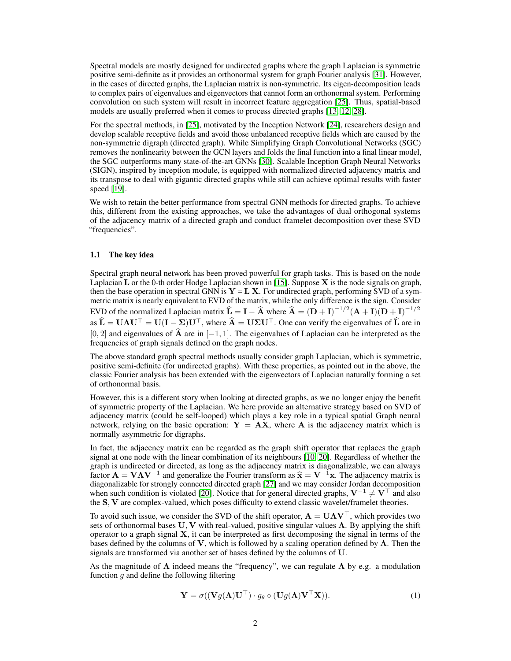Spectral models are mostly designed for undirected graphs where the graph Laplacian is symmetric positive semi-definite as it provides an orthonormal system for graph Fourier analysis [\[31\]](#page-13-0). However, in the cases of directed graphs, the Laplacian matrix is non-symmetric. Its eigen-decomposition leads to complex pairs of eigenvalues and eigenvectors that cannot form an orthonormal system. Performing convolution on such system will result in incorrect feature aggregation [\[25\]](#page-13-3). Thus, spatial-based models are usually preferred when it comes to process directed graphs [\[13,](#page-12-3) [12,](#page-12-4) [28\]](#page-13-4).

For the spectral methods, in [\[25\]](#page-13-3), motivated by the Inception Network [\[24\]](#page-13-5), researchers design and develop scalable receptive fields and avoid those unbalanced receptive fields which are caused by the non-symmetric digraph (directed graph). While Simplifying Graph Convolutional Networks (SGC) removes the nonlinearity between the GCN layers and folds the final function into a final linear model, the SGC outperforms many state-of-the-art GNNs [\[30\]](#page-13-6). Scalable Inception Graph Neural Networks (SIGN), inspired by inception module, is equipped with normalized directed adjacency matrix and its transpose to deal with gigantic directed graphs while still can achieve optimal results with faster speed [\[19\]](#page-13-7).

We wish to retain the better performance from spectral GNN methods for directed graphs. To achieve this, different from the existing approaches, we take the advantages of dual orthogonal systems of the adjacency matrix of a directed graph and conduct framelet decomposition over these SVD "frequencies".

#### 1.1 The key idea

Spectral graph neural network has been proved powerful for graph tasks. This is based on the node Laplacian L or the 0-th order Hodge Laplacian shown in [\[15\]](#page-12-5). Suppose  $X$  is the node signals on graph, then the base operation in spectral GNN is  $Y = L X$ . For undirected graph, performing SVD of a symmetric matrix is nearly equivalent to EVD of the matrix, while the only difference is the sign. Consider EVD of the normalized Laplacian matrix  $\hat{\mathbf{L}} = \mathbf{I} - \hat{\mathbf{A}}$  where  $\hat{\mathbf{A}} = (\mathbf{D} + \mathbf{I})^{-1/2} (\mathbf{A} + \mathbf{I})(\mathbf{D} + \mathbf{I})^{-1/2}$ as  $\hat{\mathbf{L}} = \mathbf{U}\boldsymbol{\Lambda}\mathbf{U}^{\top} = \mathbf{U}(\mathbf{I} - \boldsymbol{\Sigma})\mathbf{U}^{\top}$ , where  $\hat{\mathbf{A}} = \mathbf{U}\boldsymbol{\Sigma}\mathbf{U}^{\top}$ . One can verify the eigenvalues of  $\hat{\mathbf{L}}$  are in [0, 2] and eigenvalues of  $\hat{A}$  are in [−1, 1]. The eigenvalues of Laplacian can be interpreted as the frequencies of graph signals defined on the graph nodes.

The above standard graph spectral methods usually consider graph Laplacian, which is symmetric, positive semi-definite (for undirected graphs). With these properties, as pointed out in the above, the classic Fourier analysis has been extended with the eigenvectors of Laplacian naturally forming a set of orthonormal basis.

However, this is a different story when looking at directed graphs, as we no longer enjoy the benefit of symmetric property of the Laplacian. We here provide an alternative strategy based on SVD of adjacency matrix (could be self-looped) which plays a key role in a typical spatial Graph neural network, relying on the basic operation:  $Y = AX$ , where A is the adjacency matrix which is normally asymmetric for digraphs.

In fact, the adjacency matrix can be regarded as the graph shift operator that replaces the graph signal at one node with the linear combination of its neighbours [\[10,](#page-12-6) [20\]](#page-13-8). Regardless of whether the graph is undirected or directed, as long as the adjacency matrix is diagonalizable, we can always factor  $\mathbf{A} = \mathbf{V}\mathbf{\Lambda}\mathbf{V}^{-1}$  and generalize the Fourier transform as  $\hat{\mathbf{x}} = \mathbf{V}^{-1}\mathbf{x}$ . The adjacency matrix is diagonalizable for strongly connected directed graph [27] and we may consider Jordan decompositi diagonalizable for strongly connected directed graph [\[27\]](#page-13-9) and we may consider Jordan decomposition when such condition is violated [\[20\]](#page-13-8). Notice that for general directed graphs,  $V^{-1} \neq V^{\top}$  and also the S, V are complex-valued, which poses difficulty to extend classic wavelet/framelet theories.

To avoid such issue, we consider the SVD of the shift operator,  $\mathbf{A} = \mathbf{U} \mathbf{\Lambda} \mathbf{V}^\top$ , which provides two sets of orthonormal bases U, V with real-valued, positive singular values  $\Lambda$ . By applying the shift operator to a graph signal  $X$ , it can be interpreted as first decomposing the signal in terms of the bases defined by the columns of V, which is followed by a scaling operation defined by  $\Lambda$ . Then the signals are transformed via another set of bases defined by the columns of U.

As the magnitude of  $\Lambda$  indeed means the "frequency", we can regulate  $\Lambda$  by e.g. a modulation function  $q$  and define the following filtering

<span id="page-1-0"></span>
$$
\mathbf{Y} = \sigma((\mathbf{V}g(\boldsymbol{\Lambda})\mathbf{U}^{\top}) \cdot g_{\theta} \circ (\mathbf{U}g(\boldsymbol{\Lambda})\mathbf{V}^{\top}\mathbf{X})).
$$
\n(1)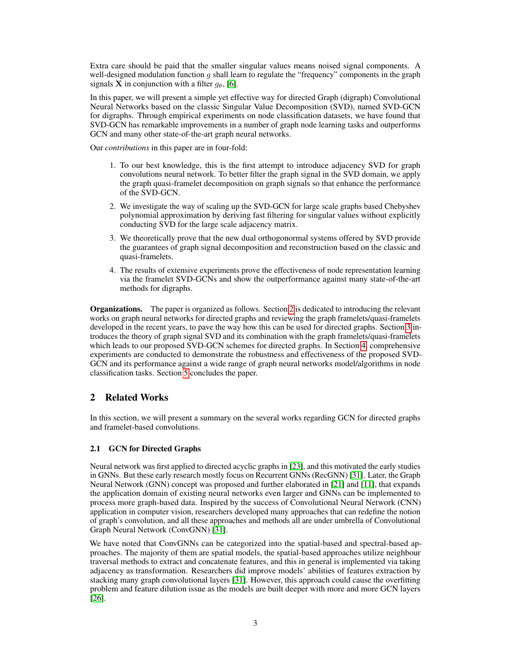Extra care should be paid that the smaller singular values means noised signal components. A well-designed modulation function q shall learn to regulate the "frequency" components in the graph signals **X** in conjunction with a filter  $q_\theta$ , [\[6\]](#page-12-7).

In this paper, we will present a simple yet effective way for directed Graph (digraph) Convolutional Neural Networks based on the classic Singular Value Decomposition (SVD), named SVD-GCN for digraphs. Through empirical experiments on node classification datasets, we have found that SVD-GCN has remarkable improvements in a number of graph node learning tasks and outperforms GCN and many other state-of-the-art graph neural networks.

Our *contributions* in this paper are in four-fold:

- 1. To our best knowledge, this is the first attempt to introduce adjacency SVD for graph convolutions neural network. To better filter the graph signal in the SVD domain, we apply the graph quasi-framelet decomposition on graph signals so that enhance the performance of the SVD-GCN.
- 2. We investigate the way of scaling up the SVD-GCN for large scale graphs based Chebyshev polynomial approximation by deriving fast filtering for singular values without explicitly conducting SVD for the large scale adjacency matrix.
- 3. We theoretically prove that the new dual orthogonormal systems offered by SVD provide the guarantees of graph signal decomposition and reconstruction based on the classic and quasi-framelets.
- 4. The results of extensive experiments prove the effectiveness of node representation learning via the framelet SVD-GCNs and show the outperformance against many state-of-the-art methods for digraphs.

Organizations. The paper is organized as follows. Section [2](#page-2-0) is dedicated to introducing the relevant works on graph neural networks for directed graphs and reviewing the graph framelets/quasi-framelets developed in the recent years, to pave the way how this can be used for directed graphs. Section [3](#page-4-0) introduces the theory of graph signal SVD and its combination with the graph framelets/quasi-framelets which leads to our proposed SVD-GCN schemes for directed graphs. In Section [4,](#page-8-0) comprehensive experiments are conducted to demonstrate the robustness and effectiveness of the proposed SVD-GCN and its performance against a wide range of graph neural networks model/algorithms in node classification tasks. Section [5](#page-11-0) concludes the paper.

## <span id="page-2-0"></span>2 Related Works

In this section, we will present a summary on the several works regarding GCN for directed graphs and framelet-based convolutions.

## 2.1 GCN for Directed Graphs

Neural network was first applied to directed acyclic graphs in [\[23\]](#page-13-10), and this motivated the early studies in GNNs. But these early research mostly focus on Recurrent GNNs (RecGNN) [\[31\]](#page-13-0). Later, the Graph Neural Network (GNN) concept was proposed and further elaborated in [\[21\]](#page-13-11) and [\[11\]](#page-12-8), that expands the application domain of existing neural networks even larger and GNNs can be implemented to process more graph-based data. Inspired by the success of Convolutional Neural Network (CNN) application in computer vision, researchers developed many approaches that can redefine the notion of graph's convolution, and all these approaches and methods all are under umbrella of Convolutional Graph Neural Network (ConvGNN) [\[31\]](#page-13-0).

We have noted that ConvGNNs can be categorized into the spatial-based and spectral-based approaches. The majority of them are spatial models, the spatial-based approaches utilize neighbour traversal methods to extract and concatenate features, and this in general is implemented via taking adjacency as transformation. Researchers did improve models' abilities of features extraction by stacking many graph convolutional layers [\[31\]](#page-13-0). However, this approach could cause the overfitting problem and feature dilution issue as the models are built deeper with more and more GCN layers [\[26\]](#page-13-12).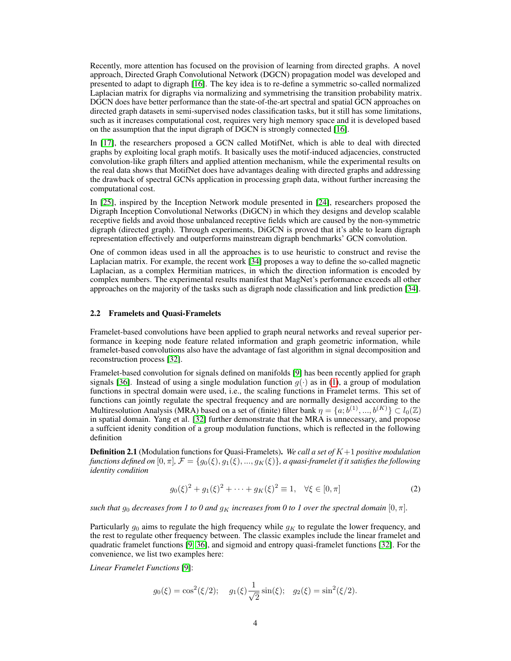Recently, more attention has focused on the provision of learning from directed graphs. A novel approach, Directed Graph Convolutional Network (DGCN) propagation model was developed and presented to adapt to digraph [\[16\]](#page-12-9). The key idea is to re-define a symmetric so-called normalized Laplacian matrix for digraphs via normalizing and symmetrising the transition probability matrix. DGCN does have better performance than the state-of-the-art spectral and spatial GCN approaches on directed graph datasets in semi-supervised nodes classification tasks, but it still has some limitations, such as it increases computational cost, requires very high memory space and it is developed based on the assumption that the input digraph of DGCN is strongly connected [\[16\]](#page-12-9).

In [\[17\]](#page-12-10), the researchers proposed a GCN called MotifNet, which is able to deal with directed graphs by exploiting local graph motifs. It basically uses the motif-induced adjacencies, constructed convolution-like graph filters and applied attention mechanism, while the experimental results on the real data shows that MotifNet does have advantages dealing with directed graphs and addressing the drawback of spectral GCNs application in processing graph data, without further increasing the computational cost.

In [\[25\]](#page-13-3), inspired by the Inception Network module presented in [\[24\]](#page-13-5), researchers proposed the Digraph Inception Convolutional Networks (DiGCN) in which they designs and develop scalable receptive fields and avoid those unbalanced receptive fields which are caused by the non-symmetric digraph (directed graph). Through experiments, DiGCN is proved that it's able to learn digraph representation effectively and outperforms mainstream digraph benchmarks' GCN convolution.

One of common ideas used in all the approaches is to use heuristic to construct and revise the Laplacian matrix. For example, the recent work [\[34\]](#page-13-13) proposes a way to define the so-called magnetic Laplacian, as a complex Hermitian matrices, in which the direction information is encoded by complex numbers. The experimental results manifest that MagNet's performance exceeds all other approaches on the majority of the tasks such as digraph node classification and link prediction [\[34\]](#page-13-13).

## 2.2 Framelets and Quasi-Framelets

Framelet-based convolutions have been applied to graph neural networks and reveal superior performance in keeping node feature related information and graph geometric information, while framelet-based convolutions also have the advantage of fast algorithm in signal decomposition and reconstruction process [\[32\]](#page-13-14).

Framelet-based convolution for signals defined on manifolds [\[9\]](#page-12-11) has been recently applied for graph signals [\[36\]](#page-13-15). Instead of using a single modulation function  $g(\cdot)$  as in [\(1\)](#page-1-0), a group of modulation functions in spectral domain were used, i.e., the scaling functions in Framelet terms. This set of functions can jointly regulate the spectral frequency and are normally designed according to the Multiresolution Analysis (MRA) based on a set of (finite) filter bank  $\eta = \{a, b^{(1)}, ..., b^{(K)}\} \subset l_0(\mathbb{Z})$ in spatial domain. Yang et al. [\[32\]](#page-13-14) further demonstrate that the MRA is unnecessary, and propose a suffcient idenity condition of a group modulation functions, which is reflected in the following definition

Definition 2.1 (Modulation functions for Quasi-Framelets). *We call a set of* K+1 *positive modulation functions defined on* [0,  $\pi$ ],  $\mathcal{F} = \{g_0(\xi), g_1(\xi), ..., g_K(\xi)\}$ , a quasi-framelet if it satisfies the following *identity condition*

<span id="page-3-0"></span>
$$
g_0(\xi)^2 + g_1(\xi)^2 + \dots + g_K(\xi)^2 \equiv 1, \quad \forall \xi \in [0, \pi]
$$
 (2)

*such that*  $g_0$  *decreases from 1 to 0 and*  $g_K$  *increases from 0 to 1 over the spectral domain*  $[0, \pi]$ *.* 

Particularly  $g_0$  aims to regulate the high frequency while  $g_K$  to regulate the lower frequency, and the rest to regulate other frequency between. The classic examples include the linear framelet and quadratic framelet functions [\[9,](#page-12-11) [36\]](#page-13-15), and sigmoid and entropy quasi-framelet functions [\[32\]](#page-13-14). For the convenience, we list two examples here:

*Linear Framelet Functions* [\[9\]](#page-12-11):

$$
g_0(\xi) = \cos^2(\xi/2);
$$
  $g_1(\xi)\frac{1}{\sqrt{2}}\sin(\xi);$   $g_2(\xi) = \sin^2(\xi/2).$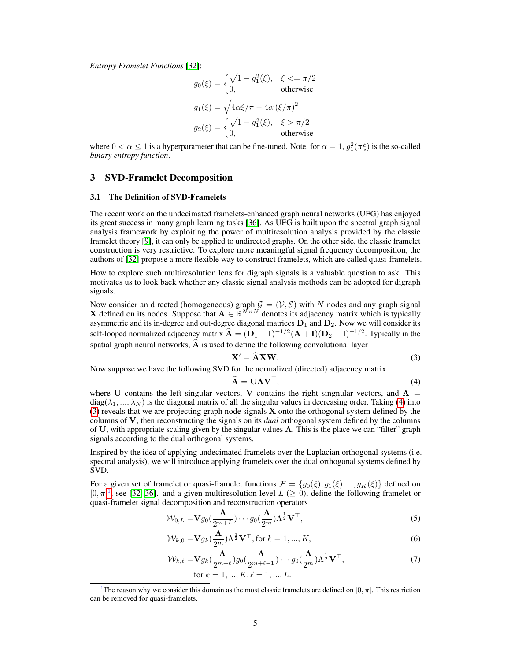*Entropy Framelet Functions* [\[32\]](#page-13-14):

$$
g_0(\xi) = \begin{cases} \sqrt{1 - g_1^2(\xi)}, & \xi < = \pi/2\\ 0, & \text{otherwise} \end{cases}
$$

$$
g_1(\xi) = \sqrt{4\alpha\xi/\pi - 4\alpha (\xi/\pi)^2}
$$

$$
g_2(\xi) = \begin{cases} \sqrt{1 - g_1^2(\xi)}, & \xi > \pi/2\\ 0, & \text{otherwise} \end{cases}
$$

where  $0 < \alpha \le 1$  is a hyperparameter that can be fine-tuned. Note, for  $\alpha = 1$ ,  $g_1^2(\pi \xi)$  is the so-called *binary entropy function*.

#### <span id="page-4-0"></span>3 SVD-Framelet Decomposition

#### 3.1 The Definition of SVD-Framelets

The recent work on the undecimated framelets-enhanced graph neural networks (UFG) has enjoyed its great success in many graph learning tasks [\[36\]](#page-13-15). As UFG is built upon the spectral graph signal analysis framework by exploiting the power of multiresolution analysis provided by the classic framelet theory [\[9\]](#page-12-11), it can only be applied to undirected graphs. On the other side, the classic framelet construction is very restrictive. To explore more meaningful signal frequency decomposition, the authors of [\[32\]](#page-13-14) propose a more flexible way to construct framelets, which are called quasi-framelets.

How to explore such multiresolution lens for digraph signals is a valuable question to ask. This motivates us to look back whether any classic signal analysis methods can be adopted for digraph signals.

Now consider an directed (homogeneous) graph  $\mathcal{G} = (\mathcal{V}, \mathcal{E})$  with N nodes and any graph signal **X** defined on its nodes. Suppose that  $A \in \mathbb{R}^{N \times N}$  denotes its adjacency matrix which is typically asymmetric and its in-degree and out-degree diagonal matrices  $D_1$  and  $D_2$ . Now we will consider its self-looped normalized adjacency matrix  $\hat{A} = (D_1 + I)^{-1/2}(A + I)(D_2 + I)^{-1/2}$ . Typically in the spatial graph neural networks,  $\widehat{A}$  is used to define the following convolutional layer

$$
\mathbf{X}' = \widehat{\mathbf{A}} \mathbf{X} \mathbf{W}.\tag{3}
$$

Now suppose we have the following SVD for the normalized (directed) adjacency matrix

<span id="page-4-4"></span><span id="page-4-2"></span><span id="page-4-1"></span>
$$
\widehat{\mathbf{A}} = \mathbf{U}\mathbf{\Lambda}\mathbf{V}^{\top},\tag{4}
$$

where U contains the left singular vectors, V contains the right singnular vectors, and  $\Lambda$  =  $diag(\lambda_1, ..., \lambda_N)$  is the diagonal matrix of all the singular values in decreasing order. Taking [\(4\)](#page-4-1) into [\(3\)](#page-4-2) reveals that we are projecting graph node signals X onto the orthogonal system defined by the columns of V, then reconstructing the signals on its *dual* orthogonal system defined by the columns of U, with appropriate scaling given by the singular values  $\Lambda$ . This is the place we can "filter" graph signals according to the dual orthogonal systems.

Inspired by the idea of applying undecimated framelets over the Laplacian orthogonal systems (i.e. spectral analysis), we will introduce applying framelets over the dual orthogonal systems defined by SVD.

For a given set of framelet or quasi-framelet functions  $\mathcal{F} = \{g_0(\xi), g_1(\xi), ..., g_K(\xi)\}\$  $\mathcal{F} = \{g_0(\xi), g_1(\xi), ..., g_K(\xi)\}\$  $\mathcal{F} = \{g_0(\xi), g_1(\xi), ..., g_K(\xi)\}\$  defined on  $[0, \pi]^1$ , see [\[32,](#page-13-14) [36\]](#page-13-15). and a given multiresolution level  $L \geq 0$ , define the following framelet or quasi-framelet signal decomposition and reconstruction operators

$$
\mathcal{W}_{0,L} = \mathbf{V} g_0(\frac{\Lambda}{2^{m+L}}) \cdots g_0(\frac{\Lambda}{2^m}) \Lambda^{\frac{1}{2}} \mathbf{V}^\top,
$$
\n(5)

$$
\mathcal{W}_{k,0} = \mathbf{V} g_k \left(\frac{\Lambda}{2^m}\right) \Lambda^{\frac{1}{2}} \mathbf{V}^\top, \text{ for } k = 1, ..., K,
$$
\n
$$
(6)
$$

<span id="page-4-5"></span>
$$
\mathcal{W}_{k,\ell} = \mathbf{V} g_k(\frac{\Lambda}{2^{m+\ell}}) g_0(\frac{\Lambda}{2^{m+\ell-1}}) \cdots g_0(\frac{\Lambda}{2^m}) \Lambda^{\frac{1}{2}} \mathbf{V}^\top,
$$
\n
$$
\text{for } k = 1, ..., K, \ell = 1, ..., L.
$$
\n(7)

<span id="page-4-3"></span><sup>&</sup>lt;sup>1</sup>The reason why we consider this domain as the most classic framelets are defined on  $[0, \pi]$ . This restriction can be removed for quasi-framelets.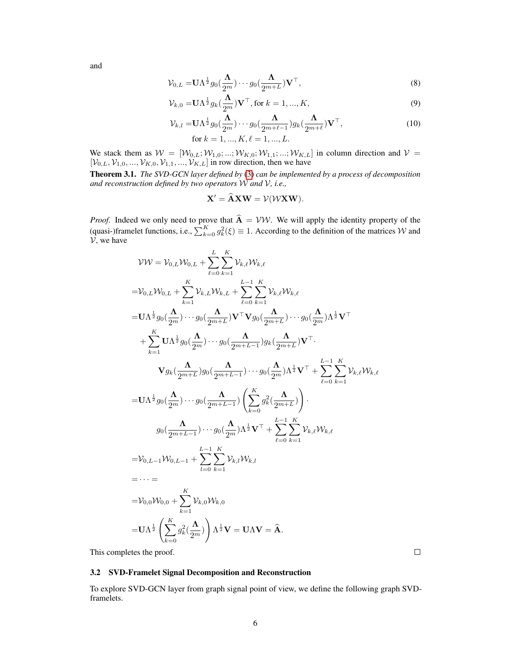and

$$
\mathcal{V}_{0,L} = \mathbf{U}\Lambda^{\frac{1}{2}}g_0(\frac{\Lambda}{2^m})\cdots g_0(\frac{\Lambda}{2^{m+L}})\mathbf{V}^\top,
$$
\n(8)

$$
\mathcal{V}_{k,0} = \mathbf{U}\Lambda^{\frac{1}{2}}g_k(\frac{\Lambda}{2^m})\mathbf{V}^\top, \text{ for } k = 1, ..., K,
$$
\n(9)

$$
\mathcal{V}_{k,l} = \mathbf{U}\Lambda^{\frac{1}{2}} g_0(\frac{\Lambda}{2^m}) \cdots g_0(\frac{\Lambda}{2^{m+\ell-1}}) g_k(\frac{\Lambda}{2^{m+\ell}}) \mathbf{V}^\top,
$$
  
for  $k = 1, ..., K, \ell = 1, ..., L.$  (10)

We stack them as  $W = [W_{0,L}; W_{1,0}; \dots; W_{K,0}; W_{1,1}; \dots; W_{K,L}]$  in column direction and  $V =$  $[\mathcal{V}_{0,L}, \mathcal{V}_{1,0}, ..., \mathcal{V}_{K,0}, \mathcal{V}_{1,1}, ..., \mathcal{V}_{K,L}]$  in row direction, then we have

<span id="page-5-0"></span>Theorem 3.1. *The SVD-GCN layer defined by* [\(3\)](#page-4-2) *can be implemented by a process of decomposition and reconstruction defined by two operators* W *and* V*, i.e.,*

$$
\mathbf{X}' = \widehat{\mathbf{A}} \mathbf{X} \mathbf{W} = \mathcal{V}(\mathcal{W} \mathbf{X} \mathbf{W}).
$$

*Proof.* Indeed we only need to prove that  $\mathbf{A} = \mathcal{V}\mathcal{W}$ . We will apply the identity property of the (quasi-)framelet functions, i.e.,  $\sum_{k=0}^{K} g_k^2(\xi) \equiv 1$ . According to the definition of the matrices W and  $\mathcal{V}$ , we have

$$
\mathcal{V}\mathcal{W} = \mathcal{V}_{0,L}\mathcal{W}_{0,L} + \sum_{\ell=0}^{L} \sum_{k=1}^{K} \mathcal{V}_{k,\ell} \mathcal{W}_{k,\ell}
$$
  
\n
$$
= \mathcal{V}_{0,L}\mathcal{W}_{0,L} + \sum_{k=1}^{K} \mathcal{V}_{k,L}\mathcal{W}_{k,L} + \sum_{\ell=0}^{L-1} \sum_{k=1}^{K} \mathcal{V}_{k,\ell} \mathcal{W}_{k,\ell}
$$
  
\n
$$
= \mathbf{U}\Lambda^{\frac{1}{2}} g_0(\frac{\Lambda}{2^m}) \cdots g_0(\frac{\Lambda}{2^{m+L}}) \mathbf{V}^\top \mathbf{V} g_0(\frac{\Lambda}{2^{m+L}}) \cdots g_0(\frac{\Lambda}{2^m}) \Lambda^{\frac{1}{2}} \mathbf{V}^\top
$$
  
\n
$$
+ \sum_{k=1}^{K} \mathbf{U}\Lambda^{\frac{1}{2}} g_0(\frac{\Lambda}{2^m}) \cdots g_0(\frac{\Lambda}{2^{m+L-1}}) g_k(\frac{\Lambda}{2^{m+L}}) \mathbf{V}^\top.
$$
  
\n
$$
\mathbf{V} g_k(\frac{\Lambda}{2^{m+L}}) g_0(\frac{\Lambda}{2^{m+L-1}}) \cdots g_0(\frac{\Lambda}{2^m}) \Lambda^{\frac{1}{2}} \mathbf{V}^\top + \sum_{\ell=0}^{L-1} \sum_{k=1}^{K} \mathcal{V}_{k,\ell} \mathcal{W}_{k,\ell}
$$
  
\n
$$
= \mathbf{U}\Lambda^{\frac{1}{2}} g_0(\frac{\Lambda}{2^m}) \cdots g_0(\frac{\Lambda}{2^{m+L-1}}) \left( \sum_{k=0}^{K} g_k^2(\frac{\Lambda}{2^{m+L}}) \right).
$$
  
\n
$$
g_0(\frac{\Lambda}{2^{m+L-1}}) \cdots g_0(\frac{\Lambda}{2^m}) \Lambda^{\frac{1}{2}} \mathbf{V}^\top + \sum_{\ell=0}^{L-1} \sum_{k=1}^{K} \mathcal{V}_{k,\ell} \mathcal{W}_{k,\ell}
$$
  
\n
$$
= \mathcal{V}_{0,L-1} \mathcal{W}_{0,L-1} + \sum_{l=0}^{L-1} \sum_{k=1}^{K
$$

This completes the proof.

#### 3.2 SVD-Framelet Signal Decomposition and Reconstruction

To explore SVD-GCN layer from graph signal point of view, we define the following graph SVDframelets.

 $\Box$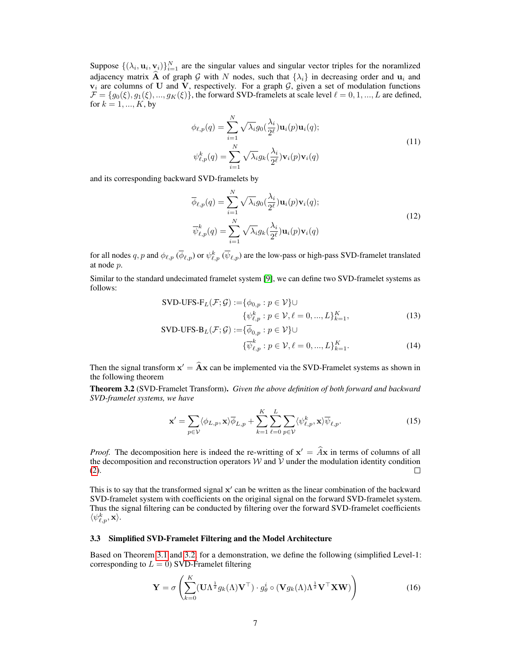Suppose  $\{(\lambda_i, \mathbf{u}_i, \mathbf{v}_i)\}_{i=1}^N$  are the singular values and singular vector triples for the noramlized adjacency matrix  $\widehat{A}$  of graph G with N nodes, such that  $\{\lambda_i\}$  in decreasing order and  $u_i$  and  $v_i$  are columns of U and V, respectively. For a graph  $G$ , given a set of modulation functions  $\mathcal{F} = \{g_0(\xi), g_1(\xi), ..., g_K(\xi)\}\$ , the forward SVD-framelets at scale level  $\ell = 0, 1, ..., L$  are defined, for  $k = 1, ..., K$ , by

$$
\phi_{\ell,p}(q) = \sum_{i=1}^{N} \sqrt{\lambda_i} g_0(\frac{\lambda_i}{2^{\ell}}) \mathbf{u}_i(p) \mathbf{u}_i(q);
$$
  

$$
\psi_{\ell,p}^k(q) = \sum_{i=1}^{N} \sqrt{\lambda_i} g_k(\frac{\lambda_i}{2^{\ell}}) \mathbf{v}_i(p) \mathbf{v}_i(q)
$$
 (11)

and its corresponding backward SVD-framelets by

$$
\overline{\phi}_{\ell,p}(q) = \sum_{i=1}^{N} \sqrt{\lambda_i} g_0(\frac{\lambda_i}{2^{\ell}}) \mathbf{u}_i(p) \mathbf{v}_i(q);
$$
\n
$$
\overline{\psi}_{\ell,p}^k(q) = \sum_{i=1}^{N} \sqrt{\lambda_i} g_k(\frac{\lambda_i}{2^{\ell}}) \mathbf{u}_i(p) \mathbf{v}_i(q)
$$
\n(12)

for all nodes  $q, p$  and  $\phi_{\ell, p}$  ( $\overline{\phi}_{\ell, p}$ ) or  $\psi_{\ell, p}^k$  ( $\overline{\psi}_{\ell, p}$ ) are the low-pass or high-pass SVD-framelet translated at node p.

Similar to the standard undecimated framelet system [\[9\]](#page-12-11), we can define two SVD-framelet systems as follows:

$$
\text{SVD-UFS-F}_L(\mathcal{F}; \mathcal{G}) := \{ \phi_{0,p} : p \in \mathcal{V} \} \cup \{ \psi_{\ell,p}^k : p \in \mathcal{V}, \ell = 0, ..., L \}_{k=1}^K,
$$
\n
$$
\text{SVD LISE } P_{\ell}(\mathcal{F}; \mathcal{C}) \subseteq \overline{\mathcal{A}} \text{ and } \mathcal{C} \cup \{ \mathcal{V} \}.
$$
\n
$$
(13)
$$

$$
\text{SVD-UFS-B}_{L}(\mathcal{F}; \mathcal{G}) := \{ \phi_{0,p} : p \in \mathcal{V} \} \cup \n\{\overline{\psi}_{\ell,p}^{k} : p \in \mathcal{V}, \ell = 0, ..., L\}_{k=1}^{K}.
$$
\n(14)

Then the signal transform  $x' = \hat{A}x$  can be implemented via the SVD-Framelet systems as shown in the following theorem

<span id="page-6-0"></span>Theorem 3.2 (SVD-Framelet Transform). *Given the above definition of both forward and backward SVD-framelet systems, we have*

$$
\mathbf{x}' = \sum_{p \in \mathcal{V}} \langle \phi_{L,p}, \mathbf{x} \rangle \overline{\phi}_{L,p} + \sum_{k=1}^{K} \sum_{\ell=0}^{L} \sum_{p \in \mathcal{V}} \langle \psi_{\ell,p}^k, \mathbf{x} \rangle \overline{\psi}_{\ell,p}.
$$
 (15)

*Proof.* The decomposition here is indeed the re-writting of  $x' = Ax$  in terms of columns of all the decomposition and reconstruction operators  $W$  and  $\bar{V}$  under the modulation identity condition (2). [\(2\)](#page-3-0).

This is to say that the transformed signal  $x'$  can be written as the linear combination of the backward SVD-framelet system with coefficients on the original signal on the forward SVD-framelet system. Thus the signal filtering can be conducted by filtering over the forward SVD-framelet coefficients  $\langle \psi_{\ell,p}^k, \mathbf{x} \rangle.$ 

#### 3.3 Simplified SVD-Framelet Filtering and the Model Architecture

Based on Theorem [3.1](#page-5-0) and [3.2,](#page-6-0) for a demonstration, we define the following (simplified Level-1: corresponding to  $L = 0$ ) SVD-Framelet filtering

<span id="page-6-1"></span>
$$
\mathbf{Y} = \sigma \left( \sum_{k=0}^{K} (\mathbf{U} \Lambda^{\frac{1}{2}} g_k(\Lambda) \mathbf{V}^{\top}) \cdot g_{\theta}^{i} \circ (\mathbf{V} g_k(\Lambda) \Lambda^{\frac{1}{2}} \mathbf{V}^{\top} \mathbf{X} \mathbf{W}) \right)
$$
(16)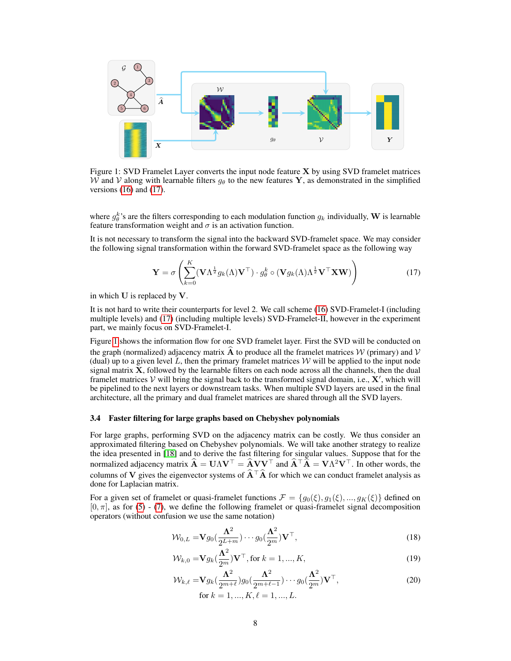

<span id="page-7-1"></span>Figure 1: SVD Framelet Layer converts the input node feature X by using SVD framelet matrices W and V along with learnable filters  $q_{\theta}$  to the new features Y, as demonstrated in the simplified versions  $(16)$  and  $(17)$ .

where  $g_{\theta}^{k}$ 's are the filters corresponding to each modulation function  $g_k$  individually, W is learnable feature transformation weight and  $\sigma$  is an activation function.

It is not necessary to transform the signal into the backward SVD-framelet space. We may consider the following signal transformation within the forward SVD-framelet space as the following way

<span id="page-7-0"></span>
$$
\mathbf{Y} = \sigma \left( \sum_{k=0}^{K} (\mathbf{V} \Lambda^{\frac{1}{2}} g_k(\Lambda) \mathbf{V}^{\top}) \cdot g_{\theta}^k \circ (\mathbf{V} g_k(\Lambda) \Lambda^{\frac{1}{2}} \mathbf{V}^{\top} \mathbf{X} \mathbf{W}) \right)
$$
(17)

in which U is replaced by V.

It is not hard to write their counterparts for level 2. We call scheme [\(16\)](#page-6-1) SVD-Framelet-I (including multiple levels) and [\(17\)](#page-7-0) (including multiple levels) SVD-Framelet-II, however in the experiment part, we mainly focus on SVD-Framelet-I.

Figure [1](#page-7-1) shows the information flow for one SVD framelet layer. First the SVD will be conducted on the graph (normalized) adjacency matrix  $\hat{A}$  to produce all the framelet matrices W (primary) and V (dual) up to a given level L, then the primary framelet matrices  $\mathcal W$  will be applied to the input node signal matrix X, followed by the learnable filters on each node across all the channels, then the dual framelet matrices  $V$  will bring the signal back to the transformed signal domain, i.e.,  $X'$ , which will be pipelined to the next layers or downstream tasks. When multiple SVD layers are used in the final architecture, all the primary and dual framelet matrices are shared through all the SVD layers.

#### <span id="page-7-4"></span>3.4 Faster filtering for large graphs based on Chebyshev polynomials

For large graphs, performing SVD on the adjacency matrix can be costly. We thus consider an approximated filtering based on Chebyshev polynomials. We will take another strategy to realize the idea presented in [\[18\]](#page-13-16) and to derive the fast filtering for singular values. Suppose that for the normalized adjacency matrix  $\hat{\mathbf{A}} = \mathbf{U}\Lambda\mathbf{V}^{\top} = \hat{\mathbf{A}}\mathbf{V}\mathbf{V}^{\top}$  and  $\hat{\mathbf{A}}^{\top}\hat{\mathbf{A}} = \mathbf{V}\Lambda^2\mathbf{V}^{\top}$ . In other words, the columns of V gives the eigenvector systems of  $\hat{A}^\top \hat{A}$  for which we can conduct framelet analysis as done for Laplacian matrix.

For a given set of framelet or quasi-framelet functions  $\mathcal{F} = \{g_0(\xi), g_1(\xi), ..., g_K(\xi)\}\$  defined on  $[0, \pi]$ , as for [\(5\)](#page-4-4) - [\(7\)](#page-4-5), we define the following framelet or quasi-framelet signal decomposition operators (without confusion we use the same notation)

<span id="page-7-2"></span>
$$
\mathcal{W}_{0,L} = \mathbf{V} g_0 \left( \frac{\mathbf{\Lambda}^2}{2^{L+m}} \right) \cdots g_0 \left( \frac{\mathbf{\Lambda}^2}{2^m} \right) \mathbf{V}^\top,
$$
\n(18)

$$
\mathcal{W}_{k,0} = \mathbf{V} g_k \left(\frac{\mathbf{\Lambda}^2}{2^m}\right) \mathbf{V}^\top, \text{ for } k = 1, ..., K,
$$
\n(19)

<span id="page-7-3"></span>
$$
\mathcal{W}_{k,\ell} = \mathbf{V} g_k \left( \frac{\Lambda^2}{2^{m+\ell}} \right) g_0 \left( \frac{\Lambda^2}{2^{m+\ell-1}} \right) \cdots g_0 \left( \frac{\Lambda^2}{2^m} \right) \mathbf{V}^\top,
$$
\nfor  $k = 1, \ldots, K, \ell = 1, \ldots, L.$ 

\n(20)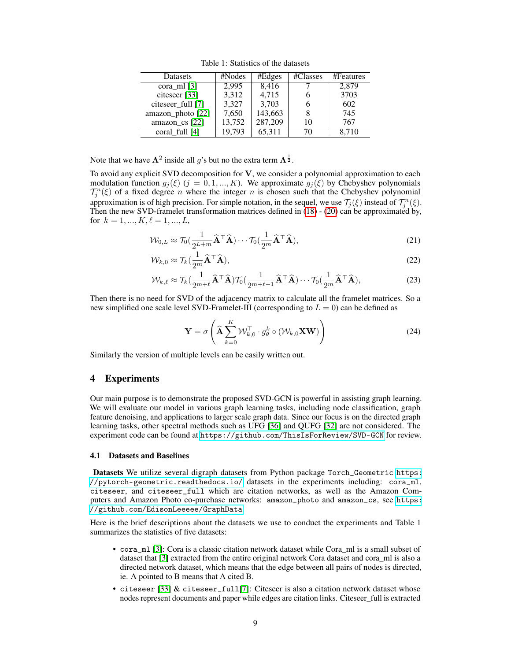|  | Table 1: Statistics of the datasets |  |  |
|--|-------------------------------------|--|--|
|--|-------------------------------------|--|--|

| Datasets                | #Nodes | #Edges  | #Classes | #Features |
|-------------------------|--------|---------|----------|-----------|
| cora m $\left[3\right]$ | 2.995  | 8,416   |          | 2,879     |
| citeseer [33]           | 3,312  | 4,715   |          | 3703      |
| citeseer_full [7]       | 3,327  | 3,703   |          | 602       |
| amazon_photo [22]       | 7,650  | 143,663 | 8        | 745       |
| amazon_cs [22]          | 13,752 | 287,209 | 10       | 767       |
| coral full [4]          | 19.793 | 65,311  | 70       | 8.710     |

Note that we have  $\Lambda^2$  inside all g's but no the extra term  $\Lambda^{\frac{1}{2}}$ .

To avoid any explicit SVD decomposition for  $V$ , we consider a polynomial approximation to each modulation function  $g_j(\xi)$  (j = 0, 1, ..., K). We approximate  $g_j(\xi)$  by Chebyshev polynomials  $\mathcal{T}_j^n(\xi)$  of a fixed degree n where the integer n is chosen such that the Chebyshev polynomial approximation is of high precision. For simple notation, in the sequel, we use  $\mathcal{T}_j(\xi)$  instead of  $\mathcal{T}_j^n(\xi)$ . Then the new SVD-framelet transformation matrices defined in [\(18\)](#page-7-2) - [\(20\)](#page-7-3) can be approximated by, for  $k = 1, ..., K, \ell = 1, ..., L$ ,

$$
\mathcal{W}_{0,L} \approx \mathcal{T}_0(\frac{1}{2^{L+m}}\widehat{\mathbf{A}}^\top \widehat{\mathbf{A}}) \cdots \mathcal{T}_0(\frac{1}{2^m}\widehat{\mathbf{A}}^\top \widehat{\mathbf{A}}),\tag{21}
$$

$$
\mathcal{W}_{k,0} \approx \mathcal{T}_k(\frac{1}{2^m}\mathbf{\hat{A}}^\top \mathbf{\hat{A}}),\tag{22}
$$

$$
\mathcal{W}_{k,\ell} \approx \mathcal{T}_{k} \left( \frac{1}{2^{m+\ell}} \widehat{\mathbf{A}}^{\top} \widehat{\mathbf{A}} \right) \mathcal{T}_{0} \left( \frac{1}{2^{m+\ell-1}} \widehat{\mathbf{A}}^{\top} \widehat{\mathbf{A}} \right) \cdots \mathcal{T}_{0} \left( \frac{1}{2^{m}} \widehat{\mathbf{A}}^{\top} \widehat{\mathbf{A}} \right),\tag{23}
$$

Then there is no need for SVD of the adjacency matrix to calculate all the framelet matrices. So a new simplified one scale level SVD-Framelet-III (corresponding to  $L = 0$ ) can be defined as

$$
\mathbf{Y} = \sigma \left( \widehat{\mathbf{A}} \sum_{k=0}^{K} \mathcal{W}_{k,0}^{\top} \cdot g_{\theta}^{k} \circ (\mathcal{W}_{k,0} \mathbf{X} \mathbf{W}) \right)
$$
(24)

Similarly the version of multiple levels can be easily written out.

#### <span id="page-8-0"></span>4 Experiments

Our main purpose is to demonstrate the proposed SVD-GCN is powerful in assisting graph learning. We will evaluate our model in various graph learning tasks, including node classification, graph feature denoising, and applications to larger scale graph data. Since our focus is on the directed graph learning tasks, other spectral methods such as UFG [\[36\]](#page-13-15) and QUFG [\[32\]](#page-13-14) are not considered. The experiment code can be found at <https://github.com/ThisIsForReview/SVD-GCN> for review.

#### 4.1 Datasets and Baselines

Datasets We utilize several digraph datasets from Python package Torch\_Geometric [https:](https://pytorch-geometric.readthedocs.io/) [//pytorch-geometric.readthedocs.io/](https://pytorch-geometric.readthedocs.io/) datasets in the experiments including: cora\_ml, citeseer, and citeseer\_full which are citation networks, as well as the Amazon Computers and Amazon Photo co-purchase networks: amazon\_photo and amazon\_cs, see [https:](https://github.com/EdisonLeeeee/GraphData) [//github.com/EdisonLeeeee/GraphData](https://github.com/EdisonLeeeee/GraphData).

Here is the brief descriptions about the datasets we use to conduct the experiments and Table 1 summarizes the statistics of five datasets:

- cora\_ml [\[3\]](#page-12-12): Cora is a classic citation network dataset while Cora\_ml is a small subset of dataset that [\[3\]](#page-12-12) extracted from the entire original network Cora dataset and cora\_ml is also a directed network dataset, which means that the edge between all pairs of nodes is directed, ie. A pointed to B means that A cited B.
- citeseer  $[33]$  & citeseer\_full<sup>[\[7\]](#page-12-13)</sup>: Citeseer is also a citation network dataset whose nodes represent documents and paper while edges are citation links. Citeseer\_full is extracted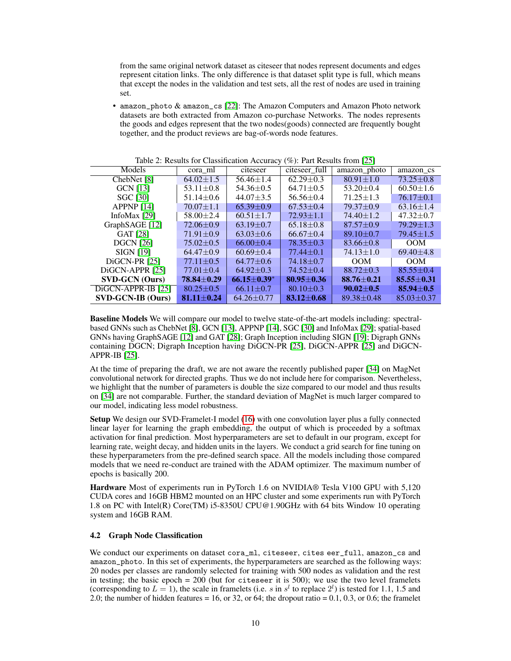from the same original network dataset as citeseer that nodes represent documents and edges represent citation links. The only difference is that dataset split type is full, which means that except the nodes in the validation and test sets, all the rest of nodes are used in training set.

• amazon\_photo & amazon\_cs [\[22\]](#page-13-18): The Amazon Computers and Amazon Photo network datasets are both extracted from Amazon co-purchase Networks. The nodes represents the goods and edges represent that the two nodes(goods) connected are frequently bought together, and the product reviews are bag-of-words node features.

| rable 2. Results for Chassineation <i>receively (70)</i> . Fare Results from $[25]$ |                 |                   |                 |                 |                  |
|-------------------------------------------------------------------------------------|-----------------|-------------------|-----------------|-----------------|------------------|
| Models                                                                              | cora ml         | citeseer          | citeseer full   | amazon photo    | amazon cs        |
| ChebNet [8]                                                                         | $64.02 \pm 1.5$ | $56.46 \pm 1.4$   | $62.29 \pm 0.3$ | $80.91 \pm 1.0$ | $73.25 + 0.8$    |
| GCN [13]                                                                            | $53.11 \pm 0.8$ | $54.36 \pm 0.5$   | $64.71 \pm 0.5$ | $53.20 \pm 0.4$ | $60.50 \pm 1.6$  |
| <b>SGC</b> [30]                                                                     | $51.14 \pm 0.6$ | $44.07 + 3.5$     | $56.56 \pm 0.4$ | $71.25 \pm 1.3$ | $76.17 + 0.1$    |
| APPNP $[14]$                                                                        | $70.07 \pm 1.1$ | $65.39 + 0.9$     | $67.53 \pm 0.4$ | $79.37 + 0.9$   | $63.16 \pm 1.4$  |
| InfoMax [29]                                                                        | $58.00 \pm 2.4$ | $60.51 \pm 1.7$   | $72.93 \pm 1.1$ | $74.40 \pm 1.2$ | $47.32 \pm 0.7$  |
| GraphSAGE [12]                                                                      | $72.06 + 0.9$   | $63.19 + 0.7$     | $65.18 \pm 0.8$ | $87.57 + 0.9$   | $79.29 \pm 1.3$  |
| GAT [28]                                                                            | $71.91 \pm 0.9$ | $63.03 \pm 0.6$   | $66.67 \pm 0.4$ | $89.10 \pm 0.7$ | $79.45 \pm 1.5$  |
| <b>DGCN</b> [26]                                                                    | $75.02 + 0.5$   | $66.00+0.4$       | $78.35 + 0.3$   | $83.66 \pm 0.8$ | OM               |
| <b>SIGN</b> [19]                                                                    | $64.47 + 0.9$   | $60.69 + 0.4$     | $77.44 + 0.1$   | $74.13 \pm 1.0$ | $69.40 + 4.8$    |
| DiGCN-PR [25]                                                                       | $77.11 + 0.5$   | $64.77 + 0.6$     | $74.18 + 0.7$   | OM              | OM               |
| DiGCN-APPR [25]                                                                     | $77.01 + 0.4$   | $64.92 \pm 0.3$   | $74.52 \pm 0.4$ | $88.72 + 0.3$   | $85.55 \pm 0.4$  |
| <b>SVD-GCN</b> (Ours)                                                               | 78.84+0.29      | $66.15 \pm 0.39*$ | $80.95 + 0.36$  | $88.76 + 0.21$  | $85.55 + 0.31$   |
| DiGCN-APPR-IB [25]                                                                  | $80.25 + 0.5$   | $66.11 \pm 0.7$   | $80.10 + 0.3$   | $90.02 + 0.5$   | $85.94 + 0.5$    |
| <b>SVD-GCN-IB (Ours)</b>                                                            | $81.11 + 0.24$  | $64.26 + 0.77$    | $83.12 + 0.68$  | $89.38 + 0.48$  | $85.03 \pm 0.37$ |

<span id="page-9-0"></span>Table 2: Results for Classification Accuracy (%): Part Results from [\[25\]](#page-13-3)

Baseline Models We will compare our model to twelve state-of-the-art models including: spectralbased GNNs such as ChebNet [\[8\]](#page-12-15), GCN [\[13\]](#page-12-3), APPNP [\[14\]](#page-12-16), SGC [\[30\]](#page-13-6) and InfoMax [\[29\]](#page-13-19); spatial-based GNNs having GraphSAGE [\[12\]](#page-12-4) and GAT [\[28\]](#page-13-4); Graph Inception including SIGN [\[19\]](#page-13-7); Digraph GNNs containing DGCN; Digraph Inception having DiGCN-PR [\[25\]](#page-13-3), DiGCN-APPR [\[25\]](#page-13-3) and DiGCN-APPR-IB [\[25\]](#page-13-3).

At the time of preparing the draft, we are not aware the recently published paper [\[34\]](#page-13-13) on MagNet convolutional network for directed graphs. Thus we do not include here for comparison. Nevertheless, we highlight that the number of parameters is double the size compared to our model and thus results on [\[34\]](#page-13-13) are not comparable. Further, the standard deviation of MagNet is much larger compared to our model, indicating less model robustness.

Setup We design our SVD-Framelet-I model [\(16\)](#page-6-1) with one convolution layer plus a fully connected linear layer for learning the graph embedding, the output of which is proceeded by a softmax activation for final prediction. Most hyperparameters are set to default in our program, except for learning rate, weight decay, and hidden units in the layers. We conduct a grid search for fine tuning on these hyperparameters from the pre-defined search space. All the models including those compared models that we need re-conduct are trained with the ADAM optimizer. The maximum number of epochs is basically 200.

Hardware Most of experiments run in PyTorch 1.6 on NVIDIA® Tesla V100 GPU with 5,120 CUDA cores and 16GB HBM2 mounted on an HPC cluster and some experiments run with PyTorch 1.8 on PC with Intel(R) Core(TM) i5-8350U CPU@1.90GHz with 64 bits Window 10 operating system and 16GB RAM.

#### <span id="page-9-1"></span>4.2 Graph Node Classification

We conduct our experiments on dataset cora\_ml, citeseer, cites eer\_full, amazon\_cs and amazon\_photo. In this set of experiments, the hyperparameters are searched as the following ways: 20 nodes per classes are randomly selected for training with 500 nodes as validation and the rest in testing; the basic epoch  $= 200$  (but for citeseer it is 500); we use the two level framelets (corresponding to  $L = 1$ ), the scale in framelets (i.e. s in  $s^l$  to replace  $2^l$ ) is tested for 1.1, 1.5 and 2.0; the number of hidden features  $= 16$ , or 32, or 64; the dropout ratio  $= 0.1, 0.3$ , or 0.6; the framelet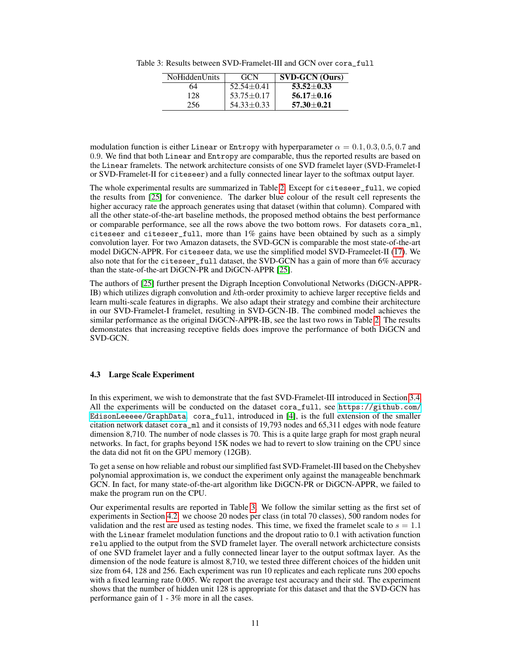Table 3: Results between SVD-Framelet-III and GCN over cora\_full

<span id="page-10-0"></span>

| NoHiddenUnits | <b>GCN</b>       | <b>SVD-GCN</b> (Ours) |
|---------------|------------------|-----------------------|
| 64            | $52.54 \pm 0.41$ | $53.52 \pm 0.33$      |
| 128           | $53.75 \pm 0.17$ | $56.17 + 0.16$        |
| 256           | $54.33 \pm 0.33$ | $57.30 \pm 0.21$      |

modulation function is either Linear or Entropy with hyperparameter  $\alpha = 0.1, 0.3, 0.5, 0.7$  and 0.9. We find that both Linear and Entropy are comparable, thus the reported results are based on the Linear framelets. The network architecture consists of one SVD framelet layer (SVD-Framelet-I or SVD-Framelet-II for citeseer) and a fully connected linear layer to the softmax output layer.

The whole experimental results are summarized in Table [2.](#page-9-0) Except for citeseer\_full, we copied the results from [\[25\]](#page-13-3) for convenience. The darker blue colour of the result cell represents the higher accuracy rate the approach generates using that dataset (within that column). Compared with all the other state-of-the-art baseline methods, the proposed method obtains the best performance or comparable performance, see all the rows above the two bottom rows. For datasets cora\_ml, citeseer and citeseer\_full, more than 1% gains have been obtained by such as a simply convolution layer. For two Amazon datasets, the SVD-GCN is comparable the most state-of-the-art model DiGCN-APPR. For citeseer data, we use the simplified model SVD-Frameelet-II [\(17\)](#page-7-0). We also note that for the citeseer\_full dataset, the SVD-GCN has a gain of more than 6% accuracy than the state-of-the-art DiGCN-PR and DiGCN-APPR [\[25\]](#page-13-3).

The authors of [\[25\]](#page-13-3) further present the Digraph Inception Convolutional Networks (DiGCN-APPR-IB) which utilizes digraph convolution and  $k$ th-order proximity to achieve larger receptive fields and learn multi-scale features in digraphs. We also adapt their strategy and combine their architecture in our SVD-Framelet-I framelet, resulting in SVD-GCN-IB. The combined model achieves the similar performance as the original DiGCN-APPR-IB, see the last two rows in Table [2.](#page-9-0) The results demonstates that increasing receptive fields does improve the performance of both DiGCN and SVD-GCN.

#### 4.3 Large Scale Experiment

In this experiment, we wish to demonstrate that the fast SVD-Framelet-III introduced in Section [3.4.](#page-7-4) All the experiments will be conducted on the dataset cora\_full, see [https://github.com/](https://github.com/EdisonLeeeee/GraphData) [EdisonLeeeee/GraphData](https://github.com/EdisonLeeeee/GraphData). cora\_full, introduced in [\[4\]](#page-12-14), is the full extension of the smaller citation network dataset cora\_ml and it consists of 19,793 nodes and 65,311 edges with node feature dimension 8,710. The number of node classes is 70. This is a quite large graph for most graph neural networks. In fact, for graphs beyond 15K nodes we had to revert to slow training on the CPU since the data did not fit on the GPU memory (12GB).

To get a sense on how reliable and robust our simplified fast SVD-Framelet-III based on the Chebyshev polynomial approximation is, we conduct the experiment only against the manageable benchmark GCN. In fact, for many state-of-the-art algorithm like DiGCN-PR or DiGCN-APPR, we failed to make the program run on the CPU.

Our experimental results are reported in Table [3.](#page-10-0) We follow the similar setting as the first set of experiments in Section [4.2:](#page-9-1) we choose 20 nodes per class (in total 70 classes), 500 random nodes for validation and the rest are used as testing nodes. This time, we fixed the framelet scale to  $s = 1.1$ with the Linear framelet modulation functions and the dropout ratio to 0.1 with activation function relu applied to the output from the SVD framelet layer. The overall network archictecture consists of one SVD framelet layer and a fully connected linear layer to the output softmax layer. As the dimension of the node feature is almost 8,710, we tested three different choices of the hidden unit size from 64, 128 and 256. Each experiment was run 10 replicates and each replicate runs 200 epochs with a fixed learning rate 0.005. We report the average test accuracy and their std. The experiment shows that the number of hidden unit 128 is appropriate for this dataset and that the SVD-GCN has performance gain of 1 - 3% more in all the cases.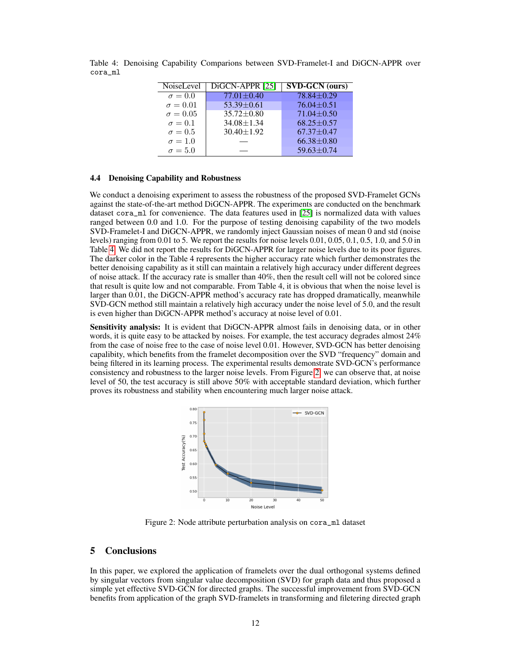| NoiseLevel      | DiGCN-APPR [25]  | $\overline{\text{SVD-GCN}}$ (ours) |
|-----------------|------------------|------------------------------------|
| $\sigma = 0.0$  | $77.01 \pm 0.40$ | $78.84 + 0.29$                     |
| $\sigma = 0.01$ | $53.39 \pm 0.61$ | $76.04 + 0.51$                     |
| $\sigma = 0.05$ | $35.72 \pm 0.80$ | $71.04 \pm 0.50$                   |
| $\sigma = 0.1$  | $34.08 \pm 1.34$ | $68.25 \pm 0.57$                   |
| $\sigma = 0.5$  | $30.40 \pm 1.92$ | $67.37 \pm 0.47$                   |
| $\sigma = 1.0$  |                  | $66.38 \pm 0.80$                   |
| $\sigma = 5.0$  |                  | $59.63 \pm 0.74$                   |
|                 |                  |                                    |

<span id="page-11-1"></span>Table 4: Denoising Capability Comparions between SVD-Framelet-I and DiGCN-APPR over cora\_ml

#### 4.4 Denoising Capability and Robustness

We conduct a denoising experiment to assess the robustness of the proposed SVD-Framelet GCNs against the state-of-the-art method DiGCN-APPR. The experiments are conducted on the benchmark dataset cora\_ml for convenience. The data features used in [\[25\]](#page-13-3) is normalized data with values ranged between 0.0 and 1.0. For the purpose of testing denoising capability of the two models SVD-Framelet-I and DiGCN-APPR, we randomly inject Gaussian noises of mean 0 and std (noise levels) ranging from 0.01 to 5. We report the results for noise levels 0.01, 0.05, 0.1, 0.5, 1.0, and 5.0 in Table [4.](#page-11-1) We did not report the results for DiGCN-APPR for larger noise levels due to its poor figures. The darker color in the Table 4 represents the higher accuracy rate which further demonstrates the better denoising capability as it still can maintain a relatively high accuracy under different degrees of noise attack. If the accuracy rate is smaller than 40%, then the result cell will not be colored since that result is quite low and not comparable. From Table 4, it is obvious that when the noise level is larger than 0.01, the DiGCN-APPR method's accuracy rate has dropped dramatically, meanwhile SVD-GCN method still maintain a relatively high accuracy under the noise level of 5.0, and the result is even higher than DiGCN-APPR method's accuracy at noise level of 0.01.

Sensitivity analysis: It is evident that DiGCN-APPR almost fails in denoising data, or in other words, it is quite easy to be attacked by noises. For example, the test accuracy degrades almost 24% from the case of noise free to the case of noise level 0.01. However, SVD-GCN has better denoising capalibity, which benefits from the framelet decomposition over the SVD "frequency" domain and being filtered in its learning process. The experimental results demonstrate SVD-GCN's performance consistency and robustness to the larger noise levels. From Figure [2,](#page-11-2) we can observe that, at noise level of 50, the test accuracy is still above 50% with acceptable standard deviation, which further proves its robustness and stability when encountering much larger noise attack.



<span id="page-11-2"></span>Figure 2: Node attribute perturbation analysis on cora\_ml dataset

## <span id="page-11-0"></span>5 Conclusions

In this paper, we explored the application of framelets over the dual orthogonal systems defined by singular vectors from singular value decomposition (SVD) for graph data and thus proposed a simple yet effective SVD-GCN for directed graphs. The successful improvement from SVD-GCN benefits from application of the graph SVD-framelets in transforming and filetering directed graph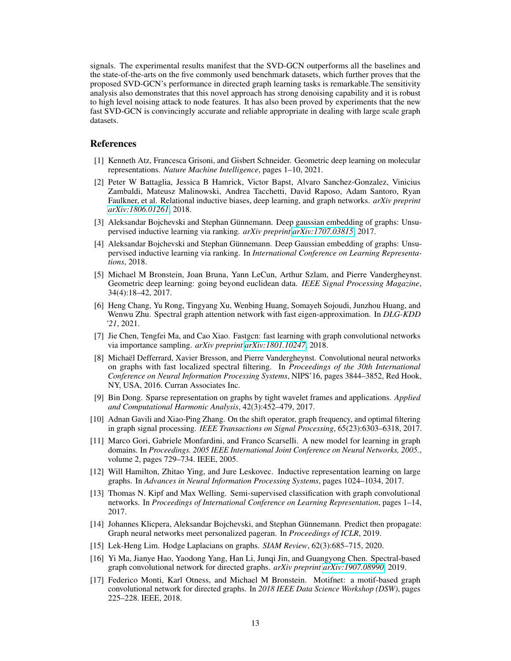signals. The experimental results manifest that the SVD-GCN outperforms all the baselines and the state-of-the-arts on the five commonly used benchmark datasets, which further proves that the proposed SVD-GCN's performance in directed graph learning tasks is remarkable.The sensitivity analysis also demonstrates that this novel approach has strong denoising capability and it is robust to high level noising attack to node features. It has also been proved by experiments that the new fast SVD-GCN is convincingly accurate and reliable appropriate in dealing with large scale graph datasets.

#### References

- <span id="page-12-1"></span>[1] Kenneth Atz, Francesca Grisoni, and Gisbert Schneider. Geometric deep learning on molecular representations. *Nature Machine Intelligence*, pages 1–10, 2021.
- <span id="page-12-2"></span>[2] Peter W Battaglia, Jessica B Hamrick, Victor Bapst, Alvaro Sanchez-Gonzalez, Vinicius Zambaldi, Mateusz Malinowski, Andrea Tacchetti, David Raposo, Adam Santoro, Ryan Faulkner, et al. Relational inductive biases, deep learning, and graph networks. *arXiv preprint [arXiv:1806.01261](http://arxiv.org/abs/1806.01261)*, 2018.
- <span id="page-12-12"></span>[3] Aleksandar Bojchevski and Stephan Günnemann. Deep gaussian embedding of graphs: Unsupervised inductive learning via ranking. *arXiv preprint [arXiv:1707.03815](http://arxiv.org/abs/1707.03815)*, 2017.
- <span id="page-12-14"></span>[4] Aleksandar Bojchevski and Stephan Günnemann. Deep Gaussian embedding of graphs: Unsupervised inductive learning via ranking. In *International Conference on Learning Representations*, 2018.
- <span id="page-12-0"></span>[5] Michael M Bronstein, Joan Bruna, Yann LeCun, Arthur Szlam, and Pierre Vandergheynst. Geometric deep learning: going beyond euclidean data. *IEEE Signal Processing Magazine*, 34(4):18–42, 2017.
- <span id="page-12-7"></span>[6] Heng Chang, Yu Rong, Tingyang Xu, Wenbing Huang, Somayeh Sojoudi, Junzhou Huang, and Wenwu Zhu. Spectral graph attention network with fast eigen-approximation. In *DLG-KDD '21*, 2021.
- <span id="page-12-13"></span>[7] Jie Chen, Tengfei Ma, and Cao Xiao. Fastgcn: fast learning with graph convolutional networks via importance sampling. *arXiv preprint [arXiv:1801.10247](http://arxiv.org/abs/1801.10247)*, 2018.
- <span id="page-12-15"></span>[8] Michaël Defferrard, Xavier Bresson, and Pierre Vandergheynst. Convolutional neural networks on graphs with fast localized spectral filtering. In *Proceedings of the 30th International Conference on Neural Information Processing Systems*, NIPS'16, pages 3844–3852, Red Hook, NY, USA, 2016. Curran Associates Inc.
- <span id="page-12-11"></span>[9] Bin Dong. Sparse representation on graphs by tight wavelet frames and applications. *Applied and Computational Harmonic Analysis*, 42(3):452–479, 2017.
- <span id="page-12-6"></span>[10] Adnan Gavili and Xiao-Ping Zhang. On the shift operator, graph frequency, and optimal filtering in graph signal processing. *IEEE Transactions on Signal Processing*, 65(23):6303–6318, 2017.
- <span id="page-12-8"></span>[11] Marco Gori, Gabriele Monfardini, and Franco Scarselli. A new model for learning in graph domains. In *Proceedings. 2005 IEEE International Joint Conference on Neural Networks, 2005.*, volume 2, pages 729–734. IEEE, 2005.
- <span id="page-12-4"></span>[12] Will Hamilton, Zhitao Ying, and Jure Leskovec. Inductive representation learning on large graphs. In *Advances in Neural Information Processing Systems*, pages 1024–1034, 2017.
- <span id="page-12-3"></span>[13] Thomas N. Kipf and Max Welling. Semi-supervised classification with graph convolutional networks. In *Proceedings of International Conference on Learning Representation*, pages 1–14, 2017.
- <span id="page-12-16"></span>[14] Johannes Klicpera, Aleksandar Bojchevski, and Stephan Günnemann. Predict then propagate: Graph neural networks meet personalized pageran. In *Proceedings of ICLR*, 2019.
- <span id="page-12-5"></span>[15] Lek-Heng Lim. Hodge Laplacians on graphs. *SIAM Review*, 62(3):685–715, 2020.
- <span id="page-12-9"></span>[16] Yi Ma, Jianye Hao, Yaodong Yang, Han Li, Junqi Jin, and Guangyong Chen. Spectral-based graph convolutional network for directed graphs. *arXiv preprint [arXiv:1907.08990](http://arxiv.org/abs/1907.08990)*, 2019.
- <span id="page-12-10"></span>[17] Federico Monti, Karl Otness, and Michael M Bronstein. Motifnet: a motif-based graph convolutional network for directed graphs. In *2018 IEEE Data Science Workshop (DSW)*, pages 225–228. IEEE, 2018.